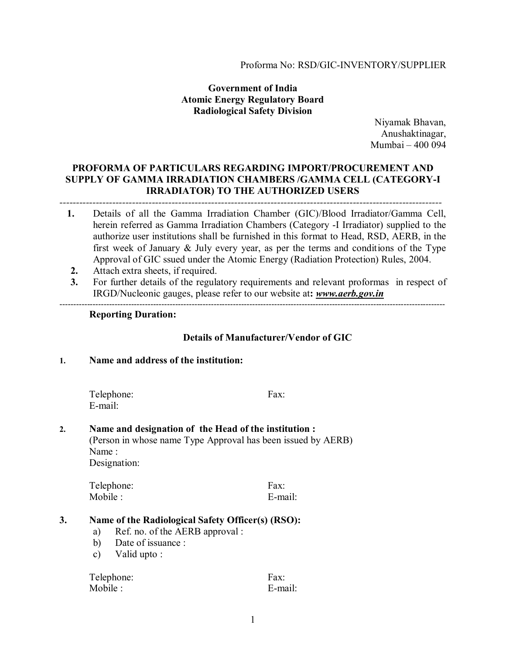#### Proforma No: RSD/GIC-INVENTORY/SUPPLIER

### **Government of India Atomic Energy Regulatory Board Radiological Safety Division**

Niyamak Bhavan, Anushaktinagar, Mumbai – 400 094

#### **PROFORMA OF PARTICULARS REGARDING IMPORT/PROCUREMENT AND SUPPLY OF GAMMA IRRADIATION CHAMBERS /GAMMA CELL (CATEGORY-I IRRADIATOR) TO THE AUTHORIZED USERS**  *--------------------------------------------------------------------------------------------------------------------*

- **1.** Details of all the Gamma Irradiation Chamber (GIC)/Blood Irradiator/Gamma Cell, herein referred as Gamma Irradiation Chambers (Category -I Irradiator) supplied to the authorize user institutions shall be furnished in this format to Head, RSD, AERB, in the first week of January & July every year, as per the terms and conditions of the Type Approval of GIC ssued under the Atomic Energy (Radiation Protection) Rules, 2004.
- **2.** Attach extra sheets, if required.
- **3.** For further details of the regulatory requirements and relevant proformas in respect of IRGD/Nucleonic gauges, please refer to our website at**:** *www.aerb.gov.in*

--------------------------------------------------------------------------------------------------------------------------------------------

#### **Reporting Duration:**

### **Details of Manufacturer/Vendor of GIC**

#### **1. Name and address of the institution:**

Telephone: Fax: E-mail:

## **2. Name and designation of the Head of the institution :**

(Person in whose name Type Approval has been issued by AERB) Name : Designation:

Telephone: Fax: Mobile : E-mail:

### **3. Name of the Radiological Safety Officer(s) (RSO):**

- a) Ref. no. of the AERB approval :
- b) Date of issuance :
- c) Valid upto :

| Telephone: | Fax:    |
|------------|---------|
| Mobile :   | E-mail: |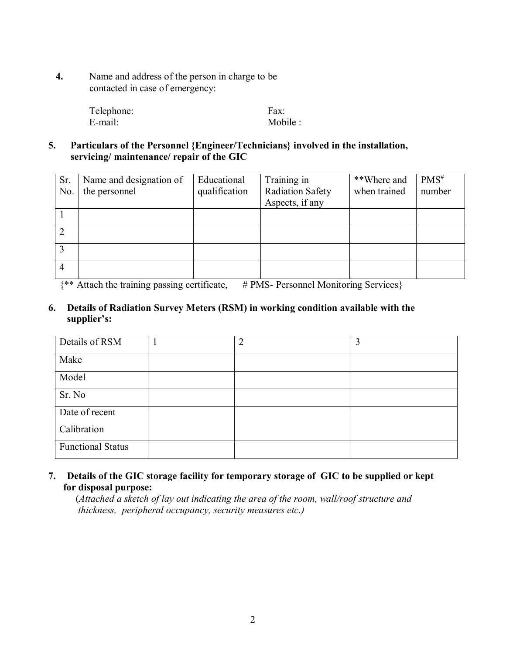**4.** Name and address of the person in charge to be contacted in case of emergency:

| Telephone: | Fax:     |
|------------|----------|
| E-mail:    | Mobile : |

## **5. Particulars of the Personnel {Engineer/Technicians} involved in the installation, servicing/ maintenance/ repair of the GIC**

| Sr. | Name and designation of | Educational   | Training in             | **Where and  | $PMS^{\#}$ |
|-----|-------------------------|---------------|-------------------------|--------------|------------|
| No. | the personnel           | qualification | <b>Radiation Safety</b> | when trained | number     |
|     |                         |               | Aspects, if any         |              |            |
|     |                         |               |                         |              |            |
|     |                         |               |                         |              |            |
|     |                         |               |                         |              |            |
| 4   |                         |               |                         |              |            |

 ${\ast\ast}$  Attach the training passing certificate, # PMS- Personnel Monitoring Services}

## **6. Details of Radiation Survey Meters (RSM) in working condition available with the supplier's:**

| Details of RSM           | $\overline{2}$ | 3 |
|--------------------------|----------------|---|
| Make                     |                |   |
| Model                    |                |   |
| Sr. No                   |                |   |
| Date of recent           |                |   |
| Calibration              |                |   |
| <b>Functional Status</b> |                |   |

## **7. Details of the GIC storage facility for temporary storage of GIC to be supplied or kept for disposal purpose:**

 (*Attached a sketch of lay out indicating the area of the room, wall/roof structure and thickness, peripheral occupancy, security measures etc.)*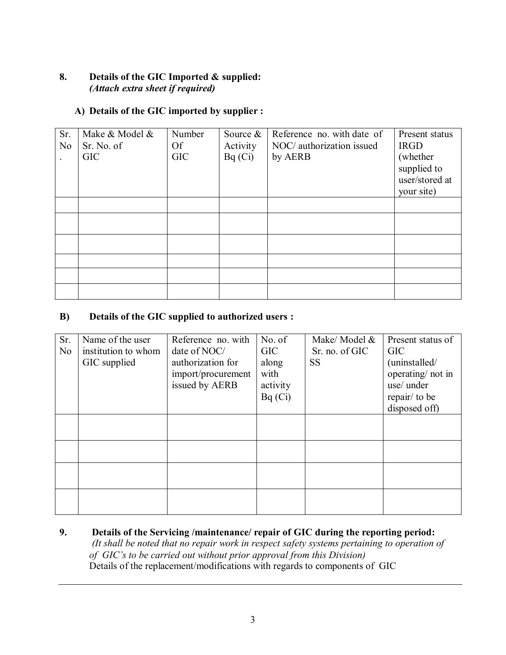## **8. Details of the GIC Imported & supplied:**   *(Attach extra sheet if required)*

## **A) Details of the GIC imported by supplier :**

| Sr.<br>N <sub>0</sub> | Make & Model &<br>Sr. No. of<br><b>GIC</b> | Number<br><b>Of</b><br><b>GIC</b> | Source $\&$<br>Activity<br>Bq(Ci) | Reference no. with date of<br>NOC/ authorization issued<br>by AERB | Present status<br><b>IRGD</b><br>(whether)<br>supplied to<br>user/stored at |
|-----------------------|--------------------------------------------|-----------------------------------|-----------------------------------|--------------------------------------------------------------------|-----------------------------------------------------------------------------|
|                       |                                            |                                   |                                   |                                                                    | your site)                                                                  |
|                       |                                            |                                   |                                   |                                                                    |                                                                             |
|                       |                                            |                                   |                                   |                                                                    |                                                                             |
|                       |                                            |                                   |                                   |                                                                    |                                                                             |
|                       |                                            |                                   |                                   |                                                                    |                                                                             |
|                       |                                            |                                   |                                   |                                                                    |                                                                             |

## **B) Details of the GIC supplied to authorized users :**

| Sr.            | Name of the user    | Reference no. with | No. of     | Make/Model &   | Present status of |
|----------------|---------------------|--------------------|------------|----------------|-------------------|
| N <sub>0</sub> | institution to whom | date of NOC/       | <b>GIC</b> | Sr. no. of GIC | <b>GIC</b>        |
|                | GIC supplied        | authorization for  | along      | <b>SS</b>      | (uninstalled/     |
|                |                     | import/procurement | with       |                | operating/not in  |
|                |                     | issued by AERB     | activity   |                | use/ under        |
|                |                     |                    | Bq(Ci)     |                | repair/ to be     |
|                |                     |                    |            |                | disposed off)     |
|                |                     |                    |            |                |                   |
|                |                     |                    |            |                |                   |
|                |                     |                    |            |                |                   |
|                |                     |                    |            |                |                   |
|                |                     |                    |            |                |                   |
|                |                     |                    |            |                |                   |
|                |                     |                    |            |                |                   |
|                |                     |                    |            |                |                   |

**9. Details of the Servicing /maintenance/ repair of GIC during the reporting period:** *(It shall be noted that no repair work in respect safety systems pertaining to operation of of GIC's to be carried out without prior approval from this Division)* Details of the replacement/modifications with regards to components of GIC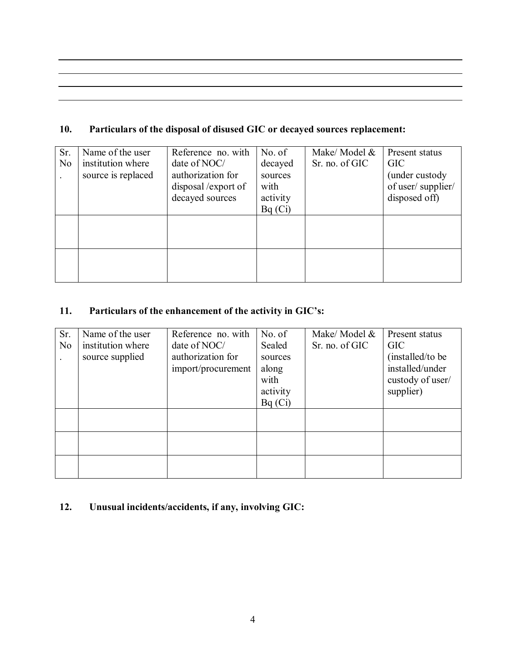# **10. Particulars of the disposal of disused GIC or decayed sources replacement:**

| Sr.            | Name of the user   | Reference no. with | No. of   | Make/Model &   | Present status    |
|----------------|--------------------|--------------------|----------|----------------|-------------------|
| N <sub>o</sub> | institution where  | date of NOC/       | decayed  | Sr. no. of GIC | <b>GIC</b>        |
|                | source is replaced | authorization for  | sources  |                | (under custody)   |
|                |                    | disposal/export of | with     |                | of user/supplier/ |
|                |                    | decayed sources    | activity |                | disposed off)     |
|                |                    |                    | Bq(Ci)   |                |                   |
|                |                    |                    |          |                |                   |
|                |                    |                    |          |                |                   |
|                |                    |                    |          |                |                   |
|                |                    |                    |          |                |                   |
|                |                    |                    |          |                |                   |
|                |                    |                    |          |                |                   |

# **11. Particulars of the enhancement of the activity in GIC's:**

| Sr.            | Name of the user  | Reference no. with | No. of   | Make/ Model &  | Present status    |
|----------------|-------------------|--------------------|----------|----------------|-------------------|
| N <sub>0</sub> | institution where | date of NOC/       | Sealed   | Sr. no. of GIC | <b>GIC</b>        |
|                | source supplied   | authorization for  | sources  |                | (installed/to be) |
|                |                   | import/procurement | along    |                | installed/under   |
|                |                   |                    | with     |                | custody of user/  |
|                |                   |                    | activity |                | supplier)         |
|                |                   |                    | Bq(Ci)   |                |                   |
|                |                   |                    |          |                |                   |
|                |                   |                    |          |                |                   |
|                |                   |                    |          |                |                   |
|                |                   |                    |          |                |                   |
|                |                   |                    |          |                |                   |
|                |                   |                    |          |                |                   |

# **12. Unusual incidents/accidents, if any, involving GIC:**